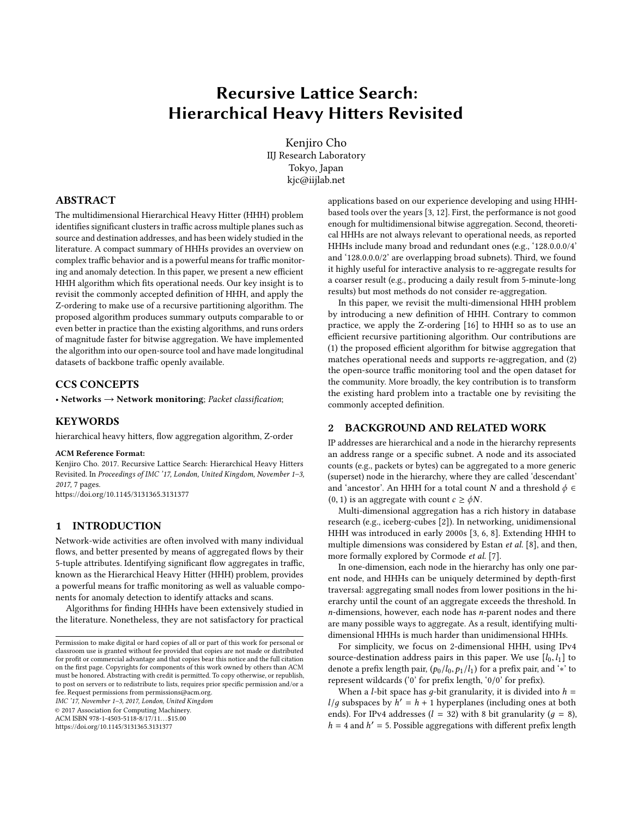# Recursive Lattice Search: Hierarchical Heavy Hitters Revisited

Kenjiro Cho IIJ Research Laboratory Tokyo, Japan kjc@iijlab.net

# ABSTRACT

The multidimensional Hierarchical Heavy Hitter (HHH) problem identifies significant clusters in traffic across multiple planes such as source and destination addresses, and has been widely studied in the literature. A compact summary of HHHs provides an overview on complex traffic behavior and is a powerful means for traffic monitoring and anomaly detection. In this paper, we present a new efficient HHH algorithm which fits operational needs. Our key insight is to revisit the commonly accepted definition of HHH, and apply the Z-ordering to make use of a recursive partitioning algorithm. The proposed algorithm produces summary outputs comparable to or even better in practice than the existing algorithms, and runs orders of magnitude faster for bitwise aggregation. We have implemented the algorithm into our open-source tool and have made longitudinal datasets of backbone traffic openly available.

# CCS CONCEPTS

• Networks  $\rightarrow$  Network monitoring; Packet classification;

#### **KEYWORDS**

hierarchical heavy hitters, flow aggregation algorithm, Z-order

#### ACM Reference Format:

Kenjiro Cho. 2017. Recursive Lattice Search: Hierarchical Heavy Hitters Revisited. In Proceedings of IMC '17, London, United Kingdom, November 1–3, 2017, [7](#page-6-0) pages.

<https://doi.org/10.1145/3131365.3131377>

### 1 INTRODUCTION

Network-wide activities are often involved with many individual flows, and better presented by means of aggregated flows by their 5-tuple attributes. Identifying significant flow aggregates in traffic, known as the Hierarchical Heavy Hitter (HHH) problem, provides a powerful means for traffic monitoring as well as valuable components for anomaly detection to identify attacks and scans.

Algorithms for finding HHHs have been extensively studied in the literature. Nonetheless, they are not satisfactory for practical

IMC '17, November 1–3, 2017, London, United Kingdom

© 2017 Association for Computing Machinery.

ACM ISBN 978-1-4503-5118-8/17/11...\$15.00

<https://doi.org/10.1145/3131365.3131377>

applications based on our experience developing and using HHHbased tools over the years [\[3,](#page-6-1) [12\]](#page-6-2). First, the performance is not good enough for multidimensional bitwise aggregation. Second, theoretical HHHs are not always relevant to operational needs, as reported HHHs include many broad and redundant ones (e.g., '128.0.0.0/4' and '128.0.0.0/2' are overlapping broad subnets). Third, we found it highly useful for interactive analysis to re-aggregate results for a coarser result (e.g., producing a daily result from 5-minute-long results) but most methods do not consider re-aggregation.

In this paper, we revisit the multi-dimensional HHH problem by introducing a new definition of HHH. Contrary to common practice, we apply the Z-ordering [\[16\]](#page-6-3) to HHH so as to use an efficient recursive partitioning algorithm. Our contributions are (1) the proposed efficient algorithm for bitwise aggregation that matches operational needs and supports re-aggregation, and (2) the open-source traffic monitoring tool and the open dataset for the community. More broadly, the key contribution is to transform the existing hard problem into a tractable one by revisiting the commonly accepted definition.

# 2 BACKGROUND AND RELATED WORK

IP addresses are hierarchical and a node in the hierarchy represents an address range or a specific subnet. A node and its associated counts (e.g., packets or bytes) can be aggregated to a more generic (superset) node in the hierarchy, where they are called 'descendant' and 'ancestor'. An HHH for a total count N and a threshold  $\phi \in$ (0, 1) is an aggregate with count  $c \ge \phi N$ .

Multi-dimensional aggregation has a rich history in database research (e.g., iceberg-cubes [\[2\]](#page-6-4)). In networking, unidimensional HHH was introduced in early 2000s [\[3,](#page-6-1) [6,](#page-6-5) [8\]](#page-6-6). Extending HHH to multiple dimensions was considered by Estan et al. [\[8\]](#page-6-6), and then, more formally explored by Cormode et al. [\[7\]](#page-6-7).

In one-dimension, each node in the hierarchy has only one parent node, and HHHs can be uniquely determined by depth-first traversal: aggregating small nodes from lower positions in the hierarchy until the count of an aggregate exceeds the threshold. In n-dimensions, however, each node has n-parent nodes and there are many possible ways to aggregate. As a result, identifying multidimensional HHHs is much harder than unidimensional HHHs.

For simplicity, we focus on 2-dimensional HHH, using IPv4 source-destination address pairs in this paper. We use  $[l_0, l_1]$  to denote a prefix length pair,  $(p_0/l_0, p_1/l_1)$  for a prefix pair, and '\*' to represent wildcards ('0' for prefix length, '0/0' for prefix).

When a *l*-bit space has *g*-bit granularity, it is divided into  $h =$ l/g subspaces by  $h' = h + 1$  hyperplanes (including ones at both ands). For IPv4 addresses  $(l - 32)$  with 8 bit grapularity  $(a - 8)$ ends). For IPv4 addresses ( $l = 32$ ) with 8 bit granularity ( $q = 8$ ),  $h = 4$  and  $h' = 5$ . Possible aggregations with different prefix length

Permission to make digital or hard copies of all or part of this work for personal or classroom use is granted without fee provided that copies are not made or distributed for profit or commercial advantage and that copies bear this notice and the full citation on the first page. Copyrights for components of this work owned by others than ACM must be honored. Abstracting with credit is permitted. To copy otherwise, or republish, to post on servers or to redistribute to lists, requires prior specific permission and/or a fee. Request permissions from permissions@acm.org.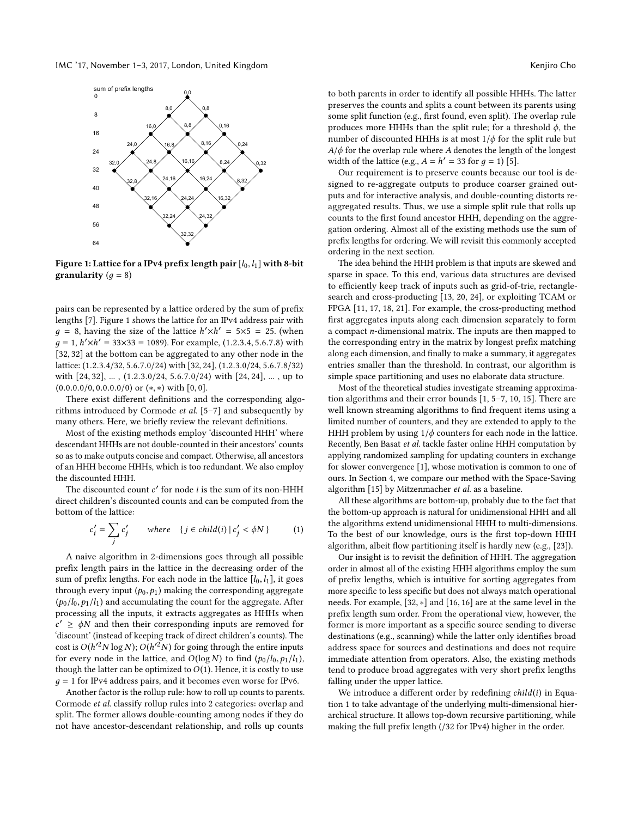<span id="page-1-0"></span>IMC '17, November 1–3, 2017, London, United Kingdom Kenjiro Cho



Figure 1: Lattice for a IPv4 prefix length pair  $[l_0, l_1]$  with 8-bit granularity  $(q = 8)$ 

pairs can be represented by a lattice ordered by the sum of prefix lengths [\[7\]](#page-6-7). Figure [1](#page-1-0) shows the lattice for an IPv4 address pair with  $g = 8$ , having the size of the lattice  $h' \times h' = 5 \times 5 = 25$ . (when  $g = 1, h' \times h' = 33 \times 33 = 1089$ ) For example (1.2.3.4, 5.6.7.8) with  $q = 1, h' \times h' = 33 \times 33 = 1089$ . For example, (1.2.3.4, 5.6.7.8) with<br>[32, 32] at the bottom can be aggregated to any other node in the [32, 32] at the bottom can be aggregated to any other node in the lattice: (1.2.3.4/32, <sup>5</sup>.6.7.0/24) with [32, 24], (1.2.3.0/24, <sup>5</sup>.6.7.8/32) with [24, 32], ... , (1.2.3.0/24, <sup>5</sup>.6.7.0/24) with [24, 24], ... , up to  $(0.0.0.0/0, 0.0.0.0/0)$  or  $(*, *)$  with  $[0, 0]$ .

There exist different definitions and the corresponding algorithms introduced by Cormode et al. [\[5–](#page-6-8)[7\]](#page-6-7) and subsequently by many others. Here, we briefly review the relevant definitions.

Most of the existing methods employ 'discounted HHH' where descendant HHHs are not double-counted in their ancestors' counts so as to make outputs concise and compact. Otherwise, all ancestors of an HHH become HHHs, which is too redundant. We also employ the discounted HHH.

The discounted count  $c'$  for node  $i$  is the sum of its non-HHH est children's discounted counts and can be computed from the direct children's discounted counts and can be computed from the bottom of the lattice:

<span id="page-1-1"></span>
$$
c'_{i} = \sum_{j} c'_{j} \qquad \text{where} \quad \{ j \in \text{child}(i) \mid c'_{j} < \phi N \} \tag{1}
$$

A naive algorithm in 2-dimensions goes through all possible prefix length pairs in the lattice in the decreasing order of the sum of prefix lengths. For each node in the lattice  $[l_0, l_1]$ , it goes through every input  $(p_0, p_1)$  making the corresponding aggregate  $(p_0/l_0, p_1/l_1)$  and accumulating the count for the aggregate. After processing all the inputs, it extracts aggregates as HHHs when c 'discount' (instead of keeping track of direct children's counts). The  $c' \ge \phi N$  and then their corresponding inputs are removed for cost is  $O(h^{\prime 2}N \log N)$ ;  $O(h^{\prime 2}N)$  for going through the entire inputs<br>for every node in the lattice, and  $O(\log N)$  to find  $(\rho_2/|h, \rho_1/|h)$ . for every node in the lattice, and  $O(\log N)$  to find  $(p_0/l_0, p_1/l_1)$ , though the latter can be optimized to  $O(1)$ . Hence, it is costly to use  $q = 1$  for IPv4 address pairs, and it becomes even worse for IPv6.

Another factor is the rollup rule: how to roll up counts to parents. Cormode et al. classify rollup rules into 2 categories: overlap and split. The former allows double-counting among nodes if they do not have ancestor-descendant relationship, and rolls up counts

to both parents in order to identify all possible HHHs. The latter preserves the counts and splits a count between its parents using some split function (e.g., first found, even split). The overlap rule produces more HHHs than the split rule; for a threshold  $\phi$ , the number of discounted HHHs is at most  $1/\phi$  for the split rule but  $A/\phi$  for the overlap rule where A denotes the length of the longest width of the lattice (e.g.,  $A = h' = 33$  for  $g = 1$ ) [\[5\]](#page-6-8).

Our requirement is to preserve counts because our tool is designed to re-aggregate outputs to produce coarser grained outputs and for interactive analysis, and double-counting distorts reaggregated results. Thus, we use a simple split rule that rolls up counts to the first found ancestor HHH, depending on the aggregation ordering. Almost all of the existing methods use the sum of prefix lengths for ordering. We will revisit this commonly accepted ordering in the next section.

The idea behind the HHH problem is that inputs are skewed and sparse in space. To this end, various data structures are devised to efficiently keep track of inputs such as grid-of-trie, rectanglesearch and cross-producting [\[13,](#page-6-9) [20,](#page-6-10) [24\]](#page-6-11), or exploiting TCAM or FPGA [\[11,](#page-6-12) [17,](#page-6-13) [18,](#page-6-14) [21\]](#page-6-15). For example, the cross-producting method first aggregates inputs along each dimension separately to form a compact n-dimensional matrix. The inputs are then mapped to the corresponding entry in the matrix by longest prefix matching along each dimension, and finally to make a summary, it aggregates entries smaller than the threshold. In contrast, our algorithm is simple space partitioning and uses no elaborate data structure.

Most of the theoretical studies investigate streaming approximation algorithms and their error bounds [\[1,](#page-6-16) [5](#page-6-8)[–7,](#page-6-7) [10,](#page-6-17) [15\]](#page-6-18). There are well known streaming algorithms to find frequent items using a limited number of counters, and they are extended to apply to the HHH problem by using  $1/\phi$  counters for each node in the lattice. Recently, Ben Basat et al. tackle faster online HHH computation by applying randomized sampling for updating counters in exchange for slower convergence [\[1\]](#page-6-16), whose motivation is common to one of ours. In Section [4,](#page-3-0) we compare our method with the Space-Saving algorithm [\[15\]](#page-6-18) by Mitzenmacher et al. as a baseline.

All these algorithms are bottom-up, probably due to the fact that the bottom-up approach is natural for unidimensional HHH and all the algorithms extend unidimensional HHH to multi-dimensions. To the best of our knowledge, ours is the first top-down HHH algorithm, albeit flow partitioning itself is hardly new (e.g., [\[23\]](#page-6-19)).

Our insight is to revisit the definition of HHH. The aggregation order in almost all of the existing HHH algorithms employ the sum of prefix lengths, which is intuitive for sorting aggregates from more specific to less specific but does not always match operational needs. For example, [32, <sup>∗</sup>] and [16, 16] are at the same level in the prefix length sum order. From the operational view, however, the former is more important as a specific source sending to diverse destinations (e.g., scanning) while the latter only identifies broad address space for sources and destinations and does not require immediate attention from operators. Also, the existing methods tend to produce broad aggregates with very short prefix lengths falling under the upper lattice.

We introduce a different order by redefining  $child(i)$  in Equation [1](#page-1-1) to take advantage of the underlying multi-dimensional hierarchical structure. It allows top-down recursive partitioning, while making the full prefix length (/<sup>32</sup> for IPv4) higher in the order.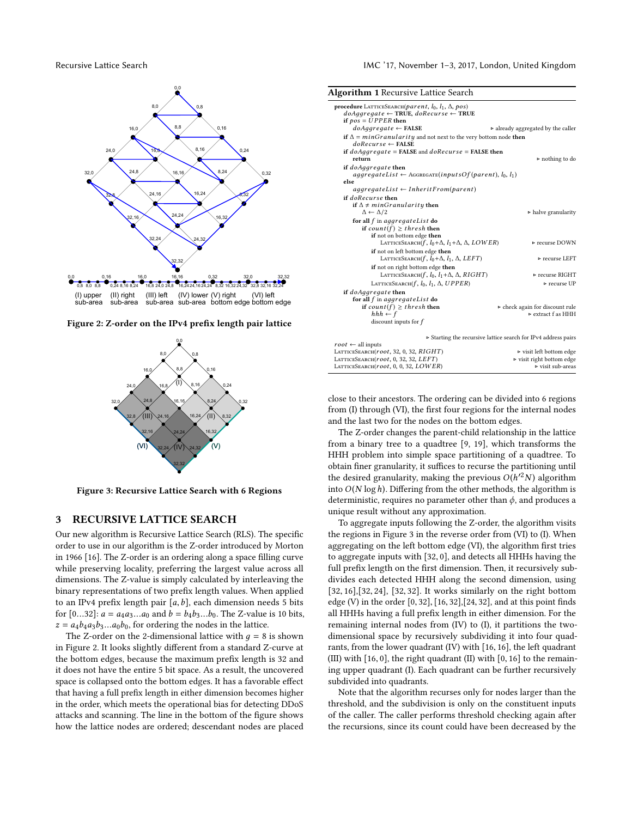<span id="page-2-0"></span>

Figure 2: Z-order on the IPv4 prefix length pair lattice



Figure 3: Recursive Lattice Search with 6 Regions

# 3 RECURSIVE LATTICE SEARCH

Our new algorithm is Recursive Lattice Search (RLS). The specific order to use in our algorithm is the Z-order introduced by Morton in 1966 [\[16\]](#page-6-3). The Z-order is an ordering along a space filling curve while preserving locality, preferring the largest value across all dimensions. The Z-value is simply calculated by interleaving the binary representations of two prefix length values. When applied to an IPv4 prefix length pair  $[a, b]$ , each dimension needs 5 bits for [0...32]:  $a = a_4 a_3... a_0$  and  $b = b_4 b_3... b_0$ . The Z-value is 10 bits,  $z = a_4b_4a_3b_3...a_0b_0$ , for ordering the nodes in the lattice.

The Z-order on the 2-dimensional lattice with  $q = 8$  is shown in Figure [2.](#page-2-0) It looks slightly different from a standard Z-curve at the bottom edges, because the maximum prefix length is 32 and it does not have the entire 5 bit space. As a result, the uncovered space is collapsed onto the bottom edges. It has a favorable effect that having a full prefix length in either dimension becomes higher in the order, which meets the operational bias for detecting DDoS attacks and scanning. The line in the bottom of the figure shows how the lattice nodes are ordered; descendant nodes are placed

<span id="page-2-1"></span>

| Algorithm 1 Recursive Lattice Search                                                                                                                                                                                          |                                                                               |  |  |  |
|-------------------------------------------------------------------------------------------------------------------------------------------------------------------------------------------------------------------------------|-------------------------------------------------------------------------------|--|--|--|
| <b>procedure</b> LATTICESEARCH( <i>parent</i> , $l_0$ , $l_1$ , $\Delta$ , <i>pos</i> )<br>$doAq \text{ } q \text{ } n \text{ } e \leftarrow \text{TRUE}, \text{ } doRecurse \leftarrow \text{TRUE}$<br>if $pos = UPPER$ then |                                                                               |  |  |  |
| doAq                                                                                                                                                                                                                          | $\triangleright$ already aggregated by the caller                             |  |  |  |
| if $\Delta = minGrandarity$ and not next to the very bottom node then<br>$doRecursive \leftarrow FALSE$                                                                                                                       |                                                                               |  |  |  |
| if $doAq\text{ }q\text{ }req\text{ }ate = \text{FALSE}$ and $doRecurse = \text{FALSE}$ then                                                                                                                                   |                                                                               |  |  |  |
| return                                                                                                                                                                                                                        | $\triangleright$ nothing to do                                                |  |  |  |
| if <i>doAggregate</i> then                                                                                                                                                                                                    |                                                                               |  |  |  |
| $aggregationList \leftarrow \text{AGGREGATE}(inputsOf(parent), l_0, l_1)$                                                                                                                                                     |                                                                               |  |  |  |
| else                                                                                                                                                                                                                          |                                                                               |  |  |  |
| $aggregation \leftarrow InheritFrom(parent)$                                                                                                                                                                                  |                                                                               |  |  |  |
| if doRecurse then                                                                                                                                                                                                             |                                                                               |  |  |  |
| if $\Delta \neq minGrandarity$ then                                                                                                                                                                                           |                                                                               |  |  |  |
| $\Delta \leftarrow \Delta/2$                                                                                                                                                                                                  | $\triangleright$ halve granularity                                            |  |  |  |
| for all $f$ in <i>aggregateList</i> do<br>if $count(f) \geq thresh$ then                                                                                                                                                      |                                                                               |  |  |  |
| if not on bottom edge then                                                                                                                                                                                                    |                                                                               |  |  |  |
| LATTICESEARCH $(f, l_0 + \Delta, l_1 + \Delta, \Delta, LOWER)$                                                                                                                                                                | $\triangleright$ recurse DOWN                                                 |  |  |  |
| if not on left bottom edge then<br>LATTICESEARCH $(f, l_0 + \Delta, l_1, \Delta, LEFT)$                                                                                                                                       | $\triangleright$ recurse LEFT                                                 |  |  |  |
| if not on right bottom edge then                                                                                                                                                                                              |                                                                               |  |  |  |
| LATTICESEARCH $(f, l_0, l_1 + \Delta, \Delta, RIGHT)$                                                                                                                                                                         | $\triangleright$ recurse RIGHT                                                |  |  |  |
| LATTICESEARCH $(f, l_0, l_1, \Delta, UPPER)$                                                                                                                                                                                  | ⊳ recurse UP                                                                  |  |  |  |
| if <i>doAggregate</i> then                                                                                                                                                                                                    |                                                                               |  |  |  |
| for all f in aggregateList do                                                                                                                                                                                                 |                                                                               |  |  |  |
| if $count(f) \geq thresh$ then                                                                                                                                                                                                | $\triangleright$ check again for discount rule                                |  |  |  |
| $hhh \leftarrow f$                                                                                                                                                                                                            | $\triangleright$ extract f as HHH                                             |  |  |  |
| discount inputs for $f$                                                                                                                                                                                                       |                                                                               |  |  |  |
|                                                                                                                                                                                                                               | $\triangleright$ Starting the recursive lattice search for IPv4 address pairs |  |  |  |
| $root \leftarrow all inputs$                                                                                                                                                                                                  |                                                                               |  |  |  |
| LATTICESEARCH(root, 32, 0, 32, RIGHT)<br>LATTICESEARCH $(root, 0, 32, 32, LEFT)$                                                                                                                                              | ⊳ visit left bottom edge<br>$\triangleright$ visit right bottom edge          |  |  |  |
| LATTICESEARCH(root, 0, 0, 32, LOWER)                                                                                                                                                                                          | $\triangleright$ visit sub-areas                                              |  |  |  |

close to their ancestors. The ordering can be divided into 6 regions from (I) through (VI), the first four regions for the internal nodes and the last two for the nodes on the bottom edges.

The Z-order changes the parent-child relationship in the lattice from a binary tree to a quadtree [\[9,](#page-6-20) [19\]](#page-6-21), which transforms the HHH problem into simple space partitioning of a quadtree. To obtain finer granularity, it suffices to recurse the partitioning until the desired granularity, making the previous  $O(h^2N)$  algorithm<br>into  $O(N \log h)$ . Differing from the other methods, the algorithm is into  $O(N \log h)$ . Differing from the other methods, the algorithm is deterministic, requires no parameter other than  $\phi$ , and produces a unique result without any approximation.

To aggregate inputs following the Z-order, the algorithm visits the regions in Figure [3](#page-2-0) in the reverse order from (VI) to (I). When aggregating on the left bottom edge (VI), the algorithm first tries to aggregate inputs with [32, 0], and detects all HHHs having the full prefix length on the first dimension. Then, it recursively subdivides each detected HHH along the second dimension, using [32, 16],[32, 24], [32, 32]. It works similarly on the right bottom edge (V) in the order [0, 32],[16, 32],[24, 32], and at this point finds all HHHs having a full prefix length in either dimension. For the remaining internal nodes from (IV) to (I), it partitions the twodimensional space by recursively subdividing it into four quadrants, from the lower quadrant (IV) with [16, 16], the left quadrant (III) with [16, 0], the right quadrant (II) with [0, 16] to the remaining upper quadrant (I). Each quadrant can be further recursively subdivided into quadrants.

Note that the algorithm recurses only for nodes larger than the threshold, and the subdivision is only on the constituent inputs of the caller. The caller performs threshold checking again after the recursions, since its count could have been decreased by the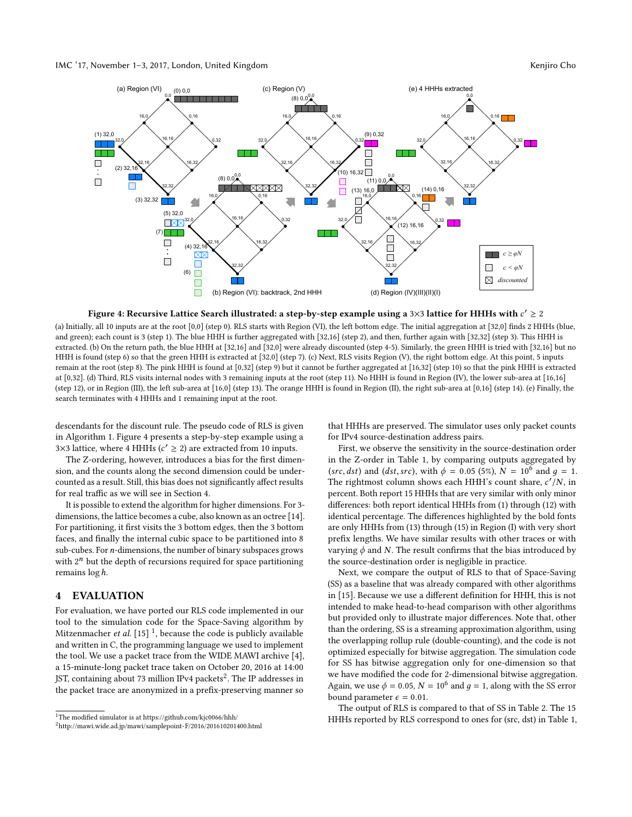<span id="page-3-1"></span>IMC '17, November 1–3, 2017, London, United Kingdom Kenjiro Cho



Figure 4: Recursive Lattice Search illustrated: a step-by-step example using a 3×3 lattice for HHHs with  $c' \geq 2$ <br>and 10 involvement them of 0.0 (the 0). N.C. that with Decime (N) the left them also The initial expension

(a) Initially, all 10 inputs are at the root [0,0] (step 0). RLS starts with Region (VI), the left bottom edge. The initial aggregation at [32,0] finds 2 HHHs (blue, and green); each count is 3 (step 1). The blue HHH is further aggregated with [32,16] (step 2), and then, further again with [32,32] (step 3). This HHH is extracted. (b) On the return path, the blue HHH at [32,16] and [32,0] were already discounted (step 4-5). Similarly, the green HHH is tried with [32,16] but no HHH is found (step 6) so that the green HHH is extracted at [32,0] (step 7). (c) Next, RLS visits Region (V), the right bottom edge. At this point, 5 inputs remain at the root (step 8). The pink HHH is found at [0,32] (step 9) but it cannot be further aggregated at [16,32] (step 10) so that the pink HHH is extracted at [0,32]. (d) Third, RLS visits internal nodes with 3 remaining inputs at the root (step 11). No HHH is found in Region (IV), the lower sub-area at [16,16] (step 12), or in Region (III), the left sub-area at [16,0] (step 13). The orange HHH is found in Region (II), the right sub-area at [0,16] (step 14). (e) Finally, the search terminates with 4 HHHs and 1 remaining input at the root.

descendants for the discount rule. The pseudo code of RLS is given in Algorithm [1.](#page-2-1) Figure [4](#page-3-1) presents a step-by-step example using a  $3\times3$  lattice, where  $4$  HHHs  $(c' \geq 2)$  are extracted from 10 inputs.<br>The Z-ordering however introduces a bias for the first dime

The Z-ordering, however, introduces a bias for the first dimension, and the counts along the second dimension could be undercounted as a result. Still, this bias does not significantly affect results for real traffic as we will see in Section [4.](#page-3-0)

It is possible to extend the algorithm for higher dimensions. For 3 dimensions, the lattice becomes a cube, also known as an octree [\[14\]](#page-6-22). For partitioning, it first visits the 3 bottom edges, then the 3 bottom faces, and finally the internal cubic space to be partitioned into 8 sub-cubes. For n-dimensions, the number of binary subspaces grows with  $2^n$  but the depth of recursions required for space partitioning remains  $\log h$ .

# <span id="page-3-0"></span>4 EVALUATION

For evaluation, we have ported our RLS code implemented in our tool to the simulation code for the Space-Saving algorithm by Mitzenmacher *et al.* [\[15\]](#page-6-18) <sup>[1](#page-3-2)</sup>, because the code is publicly available and written in C, the programming language we used to implement the tool. We use a packet trace from the WIDE MAWI archive [\[4\]](#page-6-23), a 15-minute-long packet trace taken on October 20, 2016 at 14:00  $\overline{\text{IST}}$  containing about 73 million IPv4 packets<sup>[2](#page-3-3)</sup>. The IP addresses in the packet trace are anonymized in a prefix-preserving manner so

that HHHs are preserved. The simulator uses only packet counts for IPv4 source-destination address pairs.

First, we observe the sensitivity in the source-destination order in the Z-order in Table [1,](#page-4-0) by comparing outputs aggregated by (src, dst) and (dst, src), with  $\phi = 0.05$  (5%),  $N = 10^6$  and  $g = 1$ .<br>The rightmost column shows each HHH's count share  $c'/N$  in The rightmost column shows each HHH's count share,  $c'/N$ , in parcent Both report 15 HHHs that are very similar with only minor percent. Both report 15 HHHs that are very similar with only minor differences: both report identical HHHs from (1) through (12) with identical percentage. The differences highlighted by the bold fonts are only HHHs from (13) through (15) in Region (I) with very short prefix lengths. We have similar results with other traces or with varying  $\phi$  and N. The result confirms that the bias introduced by the source-destination order is negligible in practice.

Next, we compare the output of RLS to that of Space-Saving (SS) as a baseline that was already compared with other algorithms in [\[15\]](#page-6-18). Because we use a different definition for HHH, this is not intended to make head-to-head comparison with other algorithms but provided only to illustrate major differences. Note that, other than the ordering, SS is a streaming approximation algorithm, using the overlapping rollup rule (double-counting), and the code is not optimized especially for bitwise aggregation. The simulation code for SS has bitwise aggregation only for one-dimension so that we have modified the code for 2-dimensional bitwise aggregation. Again, we use  $\phi = 0.05$ ,  $N = 10^6$  and  $g = 1$ , along with the SS error bound parameter  $c = 0.01$ bound parameter  $\epsilon = 0.01$ .

The output of RLS is compared to that of SS in Table [2.](#page-4-1) The 15 HHHs reported by RLS correspond to ones for (src, dst) in Table [1,](#page-4-0)

<span id="page-3-2"></span> $^{\rm 1}{\rm The}$  modified simulator is at<https://github.com/kjc0066/hhh/>

<span id="page-3-3"></span> $^2$ <http://mawi.wide.ad.jp/mawi/samplepoint-F/2016/201610201400.html>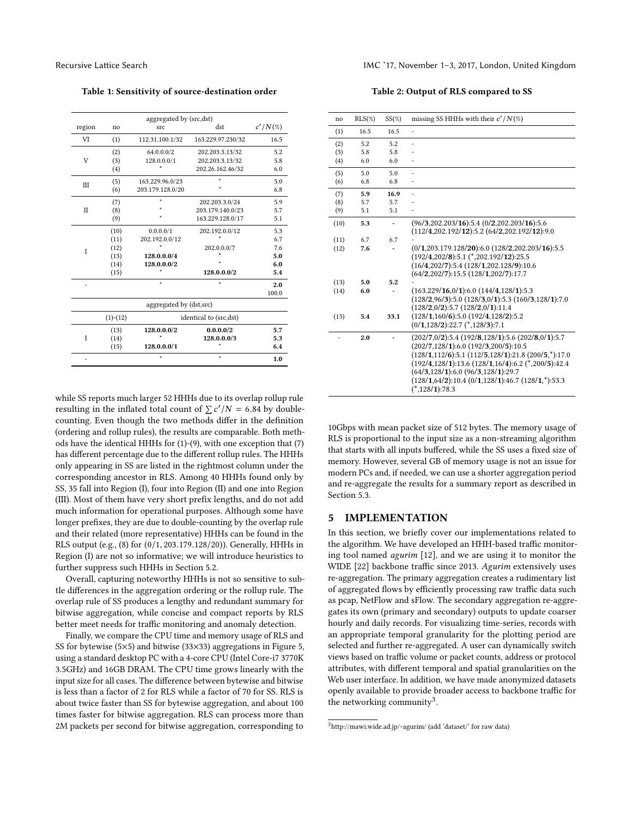<span id="page-4-0"></span>Table 1: Sensitivity of source-destination order

| aggregated by (src,dst)     |            |                          |                   |            |
|-----------------------------|------------|--------------------------|-------------------|------------|
| region                      | no         | src                      | dst               | $c'/N(\%)$ |
| VI                          | (1)        | 112.31.100.1/32          | 163.229.97.230/32 | 16.5       |
| V                           | (2)        | 64.0.0.0/2               | 202.203.3.13/32   | 5.2        |
|                             | (3)        | 128.0.0.0/1              | 202.203.3.13/32   | 5.8        |
|                             | (4)        |                          | 202.26.162.46/32  | 6.0        |
| $\mathop{\rm III}\nolimits$ | (5)        | 163.229.96.0/23          | ÷                 | 5.0        |
|                             | (6)        | 203.179.128.0/20         | ÷                 | 6.8        |
|                             | (7)        | ÷                        | 202.203.3.0/24    | 5.9        |
| П                           | (8)        |                          | 203.179.140.0/23  | 5.7        |
|                             | (9)        |                          | 163.229.128.0/17  | 5.1        |
| I                           | (10)       | 0.0.0.0/1                | 202.192.0.0/12    | 5.3        |
|                             | (11)       | 202.192.0.0/12           |                   | 6.7        |
|                             | (12)       |                          | 202.0.0.0/7       | 7.6        |
|                             | (13)       | 128.0.0.0/4              |                   | 5.0        |
|                             | (14)       | 128.0.0.0/2              |                   | 6.0        |
|                             | (15)       |                          | 128.0.0.0/2       | 5.4        |
|                             |            | ÷                        | ÷                 | 2.0        |
|                             |            |                          |                   | 100.0      |
|                             |            | aggregated by (dst, src) |                   |            |
|                             | $(1)-(12)$ | identical to (src,dst)   |                   |            |
| T                           | (13)       | 128.0.0.0/2              | 0.0.0.0/2         | 5.7        |
|                             | (14)       | ÷                        | 128.0.0.0/3       | 5.3        |
|                             | (15)       | 128.0.0.0/1              |                   | 6.4        |
|                             |            | ÷                        | ÷                 | 1.0        |

while SS reports much larger 52 HHHs due to its overlap rollup rule resulting in the inflated total count of  $\sum c'/N = 6.84$  by double-<br>counting. Even though the two methods differ in the definition c counting. Even though the two methods differ in the definition (ordering and rollup rules), the results are comparable. Both methods have the identical HHHs for (1)-(9), with one exception that (7) has different percentage due to the different rollup rules. The HHHs only appearing in SS are listed in the rightmost column under the corresponding ancestor in RLS. Among 40 HHHs found only by SS, 35 fall into Region (I), four into Region (II) and one into Region (III). Most of them have very short prefix lengths, and do not add much information for operational purposes. Although some have longer prefixes, they are due to double-counting by the overlap rule and their related (more representative) HHHs can be found in the RLS output (e.g., (8) for (0/1, <sup>203</sup>.179.128/20)). Generally, HHHs in Region (I) are not so informative; we will introduce heuristics to further suppress such HHHs in Section [5.2.](#page-5-0)

Overall, capturing noteworthy HHHs is not so sensitive to subtle differences in the aggregation ordering or the rollup rule. The overlap rule of SS produces a lengthy and redundant summary for bitwise aggregation, while concise and compact reports by RLS better meet needs for traffic monitoring and anomaly detection.

Finally, we compare the CPU time and memory usage of RLS and SS for bytewise (5×5) and bitwise (33×33) aggregations in Figure [5,](#page-5-1) using a standard desktop PC with a 4-core CPU (Intel Core-i7 3770K 3.5GHz) and 16GB DRAM. The CPU time grows linearly with the input size for all cases. The difference between bytewise and bitwise is less than a factor of 2 for RLS while a factor of 70 for SS. RLS is about twice faster than SS for bytewise aggregation, and about 100 times faster for bitwise aggregation. RLS can process more than 2M packets per second for bitwise aggregation, corresponding to

|  | Table 2: Output of RLS compared to SS |  |
|--|---------------------------------------|--|
|--|---------------------------------------|--|

<span id="page-4-1"></span>

| no   | $RLS(\% )$ | $SS(\%)$ | missing SS HHHs with their $c'/N(\%)$                           |
|------|------------|----------|-----------------------------------------------------------------|
| (1)  | 16.5       | 16.5     | $\overline{a}$                                                  |
| (2)  | 5.2        | 5.2      | -                                                               |
| (3)  | 5.8        | 5.8      |                                                                 |
| (4)  | 6.0        | 6.0      |                                                                 |
| (5)  | 5.0        | 5.0      |                                                                 |
| (6)  | 6.8        | 6.8      | -                                                               |
| (7)  | 5.9        | 16.9     | $\overline{a}$                                                  |
| (8)  | 5.7        | 5.7      |                                                                 |
| (9)  | 5.1        | 5.1      |                                                                 |
| (10) | 5.3        |          | $(96/3,202.203/16):5.4(0/2,202.203/16):5.6$                     |
|      |            |          | $(112/4, 202.192/12): 5.2 (64/2, 202.192/12): 9.0$              |
| (11) | 6.7        | 6.7      |                                                                 |
| (12) | 7.6        |          | $(0/1, 203.179.128/20): 6.0 (128/2, 202.203/16): 5.5$           |
|      |            |          | (192/4,202/8):5.1 (*,202.192/12):25.5                           |
|      |            |          | $(16/4, 202/7): 5.4 (128/1, 202.128/9): 10.6$                   |
|      |            |          | (64/2,202/7):15.5(128/1,202/7):17.7                             |
| (13) | 5.0        | 5.2      |                                                                 |
| (14) | 6.0        |          | (163.229/16.0/1):6.0(144/4.128/1):5.3                           |
|      |            |          | $(128/2, 96/3): 5.0 (128/3, 0/1): 5.3 (160/3, 128/1): 7.0$      |
|      |            |          | (128/2,0/2):5.7(128/2,0/1):11.4                                 |
| (15) | 5.4        | 33.1     | $(128/1, 160/6): 5.0 (192/4, 128/2): 5.2$                       |
|      |            |          | $(0/1, 128/2): 22.7$ $(*, 128/3): 7.1$                          |
|      | 2.0        |          | $(202/7,0/2):$ 5.4 $(192/8,128/1):$ 5.6 $(202/8,0/1):$ 5.7      |
|      |            |          | $(202/7, 128/1): 6.0 (192/3, 200/5): 10.5$                      |
|      |            |          | $(128/1, 112/6):$ 5.1 $(112/5, 128/1):$ 21.8 $(200/5, *):$ 17.0 |
|      |            |          | $(192/4, 128/1): 13.6 (128/1, 16/4): 6.2 (*, 200/5): 42.4$      |
|      |            |          | $(64/3, 128/1): 6.0 (96/3, 128/1): 29.7$                        |
|      |            |          | $(128/1, 64/2): 10.4 (0/1, 128/1): 46.7 (128/1, 1): 53.3$       |
|      |            |          | $(*,128/1):78.3$                                                |
|      |            |          |                                                                 |

10Gbps with mean packet size of 512 bytes. The memory usage of RLS is proportional to the input size as a non-streaming algorithm that starts with all inputs buffered, while the SS uses a fixed size of memory. However, several GB of memory usage is not an issue for modern PCs and, if needed, we can use a shorter aggregation period and re-aggregate the results for a summary report as described in Section [5.3.](#page-5-2)

# 5 IMPLEMENTATION

In this section, we briefly cover our implementations related to the algorithm. We have developed an HHH-based traffic monitoring tool named agurim [\[12\]](#page-6-2), and we are using it to monitor the WIDE [\[22\]](#page-6-24) backbone traffic since 2013. Agurim extensively uses re-aggregation. The primary aggregation creates a rudimentary list of aggregated flows by efficiently processing raw traffic data such as pcap, NetFlow and sFlow. The secondary aggregation re-aggregates its own (primary and secondary) outputs to update coarser hourly and daily records. For visualizing time-series, records with an appropriate temporal granularity for the plotting period are selected and further re-aggregated. A user can dynamically switch views based on traffic volume or packet counts, address or protocol attributes, with different temporal and spatial granularities on the Web user interface. In addition, we have made anonymized datasets openly available to provide broader access to backbone traffic for the networking community<sup>[3](#page-4-2)</sup>.

<span id="page-4-2"></span><sup>3</sup><http://mawi.wide.ad.jp/~agurim/> (add ['dataset/'](dataset/) for raw data)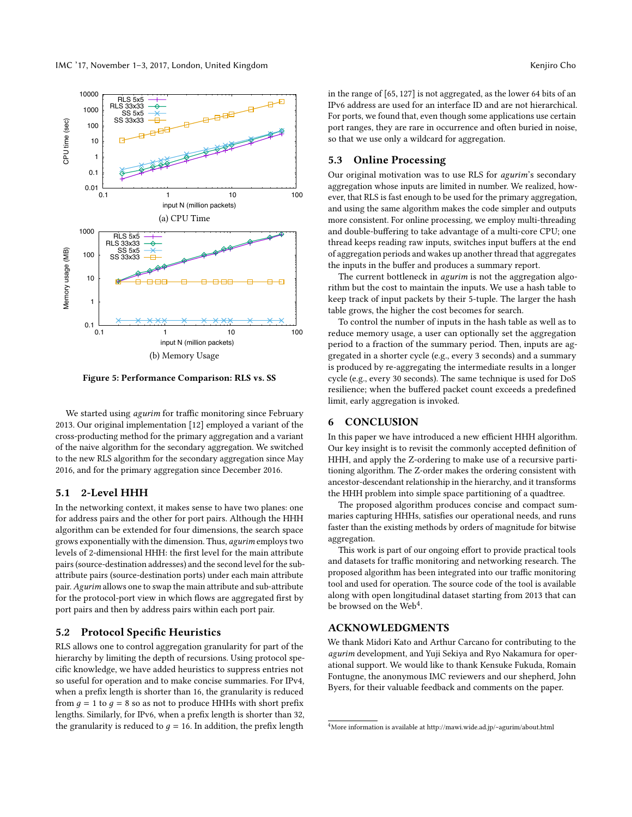<span id="page-5-1"></span>

Figure 5: Performance Comparison: RLS vs. SS

We started using agurim for traffic monitoring since February 2013. Our original implementation [\[12\]](#page-6-2) employed a variant of the cross-producting method for the primary aggregation and a variant of the naive algorithm for the secondary aggregation. We switched to the new RLS algorithm for the secondary aggregation since May 2016, and for the primary aggregation since December 2016.

# 5.1 2-Level HHH

In the networking context, it makes sense to have two planes: one for address pairs and the other for port pairs. Although the HHH algorithm can be extended for four dimensions, the search space grows exponentially with the dimension. Thus, agurim employs two levels of 2-dimensional HHH: the first level for the main attribute pairs (source-destination addresses) and the second level for the subattribute pairs (source-destination ports) under each main attribute pair. Agurim allows one to swap the main attribute and sub-attribute for the protocol-port view in which flows are aggregated first by port pairs and then by address pairs within each port pair.

# <span id="page-5-0"></span>5.2 Protocol Specific Heuristics

RLS allows one to control aggregation granularity for part of the hierarchy by limiting the depth of recursions. Using protocol specific knowledge, we have added heuristics to suppress entries not so useful for operation and to make concise summaries. For IPv4, when a prefix length is shorter than 16, the granularity is reduced from  $q = 1$  to  $q = 8$  so as not to produce HHHs with short prefix lengths. Similarly, for IPv6, when a prefix length is shorter than 32, the granularity is reduced to  $q = 16$ . In addition, the prefix length

in the range of [65, 127] is not aggregated, as the lower 64 bits of an IPv6 address are used for an interface ID and are not hierarchical. For ports, we found that, even though some applications use certain port ranges, they are rare in occurrence and often buried in noise, so that we use only a wildcard for aggregation.

# <span id="page-5-2"></span>5.3 Online Processing

Our original motivation was to use RLS for agurim's secondary aggregation whose inputs are limited in number. We realized, however, that RLS is fast enough to be used for the primary aggregation, and using the same algorithm makes the code simpler and outputs more consistent. For online processing, we employ multi-threading and double-buffering to take advantage of a multi-core CPU; one thread keeps reading raw inputs, switches input buffers at the end of aggregation periods and wakes up another thread that aggregates the inputs in the buffer and produces a summary report.

The current bottleneck in *agurim* is not the aggregation algorithm but the cost to maintain the inputs. We use a hash table to keep track of input packets by their 5-tuple. The larger the hash table grows, the higher the cost becomes for search.

To control the number of inputs in the hash table as well as to reduce memory usage, a user can optionally set the aggregation period to a fraction of the summary period. Then, inputs are aggregated in a shorter cycle (e.g., every 3 seconds) and a summary is produced by re-aggregating the intermediate results in a longer cycle (e.g., every 30 seconds). The same technique is used for DoS resilience; when the buffered packet count exceeds a predefined limit, early aggregation is invoked.

### 6 CONCLUSION

In this paper we have introduced a new efficient HHH algorithm. Our key insight is to revisit the commonly accepted definition of HHH, and apply the Z-ordering to make use of a recursive partitioning algorithm. The Z-order makes the ordering consistent with ancestor-descendant relationship in the hierarchy, and it transforms the HHH problem into simple space partitioning of a quadtree.

The proposed algorithm produces concise and compact summaries capturing HHHs, satisfies our operational needs, and runs faster than the existing methods by orders of magnitude for bitwise aggregation.

This work is part of our ongoing effort to provide practical tools and datasets for traffic monitoring and networking research. The proposed algorithm has been integrated into our traffic monitoring tool and used for operation. The source code of the tool is available along with open longitudinal dataset starting from 2013 that can be browsed on the Web<sup>[4](#page-5-3)</sup>.

# ACKNOWLEDGMENTS

We thank Midori Kato and Arthur Carcano for contributing to the agurim development, and Yuji Sekiya and Ryo Nakamura for operational support. We would like to thank Kensuke Fukuda, Romain Fontugne, the anonymous IMC reviewers and our shepherd, John Byers, for their valuable feedback and comments on the paper.

<span id="page-5-3"></span><sup>4</sup>More information is available at<http://mawi.wide.ad.jp/~agurim/about.html>